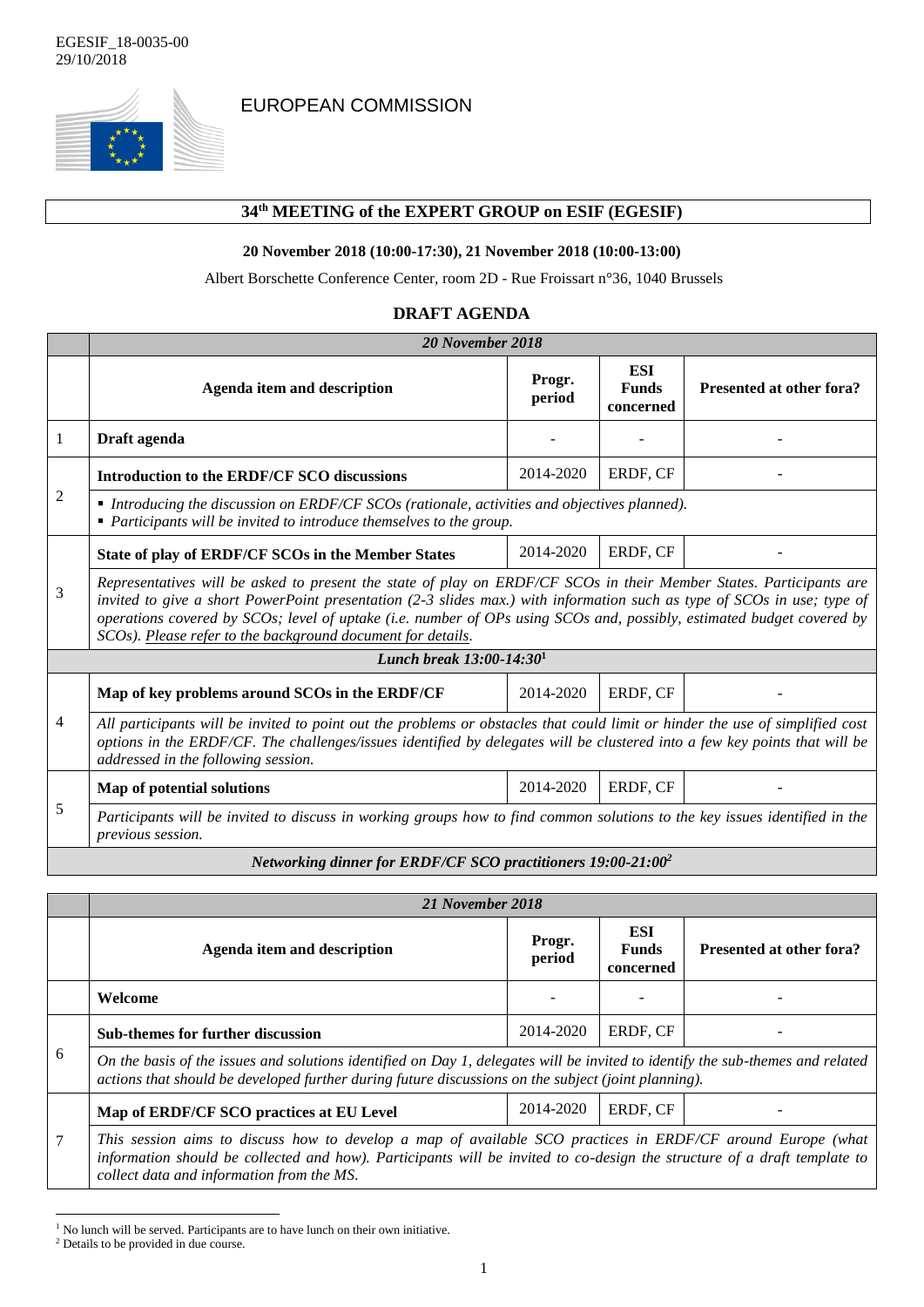

EUROPEAN COMMISSION

## **34 th MEETING of the EXPERT GROUP on ESIF (EGESIF)**

## **20 November 2018 (10:00-17:30), 21 November 2018 (10:00-13:00)**

Albert Borschette Conference Center, room 2D - Rue Froissart n°36, 1040 Brussels

| <b>DRAFT AGENDA</b> |
|---------------------|
|                     |

|                                                                          | 20 November 2018                                                                                                                                                                                                                                                                                                                                                                                                                       |                  |                                  |                          |
|--------------------------------------------------------------------------|----------------------------------------------------------------------------------------------------------------------------------------------------------------------------------------------------------------------------------------------------------------------------------------------------------------------------------------------------------------------------------------------------------------------------------------|------------------|----------------------------------|--------------------------|
|                                                                          | <b>Agenda item and description</b>                                                                                                                                                                                                                                                                                                                                                                                                     | Progr.<br>period | ESI<br><b>Funds</b><br>concerned | Presented at other fora? |
| $\overline{1}$                                                           | Draft agenda                                                                                                                                                                                                                                                                                                                                                                                                                           |                  |                                  |                          |
| 2                                                                        | Introduction to the ERDF/CF SCO discussions                                                                                                                                                                                                                                                                                                                                                                                            | 2014-2020        | ERDF, CF                         |                          |
|                                                                          | $\blacksquare$ Introducing the discussion on ERDF/CF SCOs (rationale, activities and objectives planned).<br>$\blacksquare$ Participants will be invited to introduce themselves to the group.                                                                                                                                                                                                                                         |                  |                                  |                          |
| 3                                                                        | State of play of ERDF/CF SCOs in the Member States                                                                                                                                                                                                                                                                                                                                                                                     | 2014-2020        | ERDF, CF                         |                          |
|                                                                          | Representatives will be asked to present the state of play on ERDF/CF SCOs in their Member States. Participants are<br>invited to give a short PowerPoint presentation (2-3 slides max.) with information such as type of SCOs in use; type of<br>operations covered by SCOs; level of uptake (i.e. number of OPs using SCOs and, possibly, estimated budget covered by<br>SCOs). Please refer to the background document for details. |                  |                                  |                          |
| Lunch break $13:00-14:301$                                               |                                                                                                                                                                                                                                                                                                                                                                                                                                        |                  |                                  |                          |
| $\overline{4}$                                                           | Map of key problems around SCOs in the ERDF/CF                                                                                                                                                                                                                                                                                                                                                                                         | 2014-2020        | ERDF, CF                         |                          |
|                                                                          | All participants will be invited to point out the problems or obstacles that could limit or hinder the use of simplified cost<br>options in the ERDF/CF. The challenges/issues identified by delegates will be clustered into a few key points that will be<br>addressed in the following session.                                                                                                                                     |                  |                                  |                          |
| 5                                                                        | Map of potential solutions                                                                                                                                                                                                                                                                                                                                                                                                             | 2014-2020        | ERDF, CF                         |                          |
|                                                                          | Participants will be invited to discuss in working groups how to find common solutions to the key issues identified in the<br>previous session.                                                                                                                                                                                                                                                                                        |                  |                                  |                          |
| Networking dinner for ERDF/CF SCO practitioners 19:00-21:00 <sup>2</sup> |                                                                                                                                                                                                                                                                                                                                                                                                                                        |                  |                                  |                          |

|   | 21 November 2018                                                                                                                                                                                                                                                                     |                  |                                  |                          |
|---|--------------------------------------------------------------------------------------------------------------------------------------------------------------------------------------------------------------------------------------------------------------------------------------|------------------|----------------------------------|--------------------------|
|   | Agenda item and description                                                                                                                                                                                                                                                          | Progr.<br>period | ESI<br><b>Funds</b><br>concerned | Presented at other fora? |
|   | Welcome                                                                                                                                                                                                                                                                              |                  |                                  |                          |
| 6 | <b>Sub-themes for further discussion</b>                                                                                                                                                                                                                                             | 2014-2020        | ERDF. CF                         |                          |
|   | On the basis of the issues and solutions identified on Day 1, delegates will be invited to identify the sub-themes and related<br>actions that should be developed further during future discussions on the subject (joint planning).                                                |                  |                                  |                          |
| 7 | Map of ERDF/CF SCO practices at EU Level                                                                                                                                                                                                                                             | 2014-2020        | ERDF. CF                         |                          |
|   | This session aims to discuss how to develop a map of available SCO practices in ERDF/CF around Europe (what<br>information should be collected and how). Participants will be invited to co-design the structure of a draft template to<br>collect data and information from the MS. |                  |                                  |                          |

<sup>&</sup>lt;sup>1</sup> No lunch will be served. Participants are to have lunch on their own initiative.

1

<sup>2</sup> Details to be provided in due course.